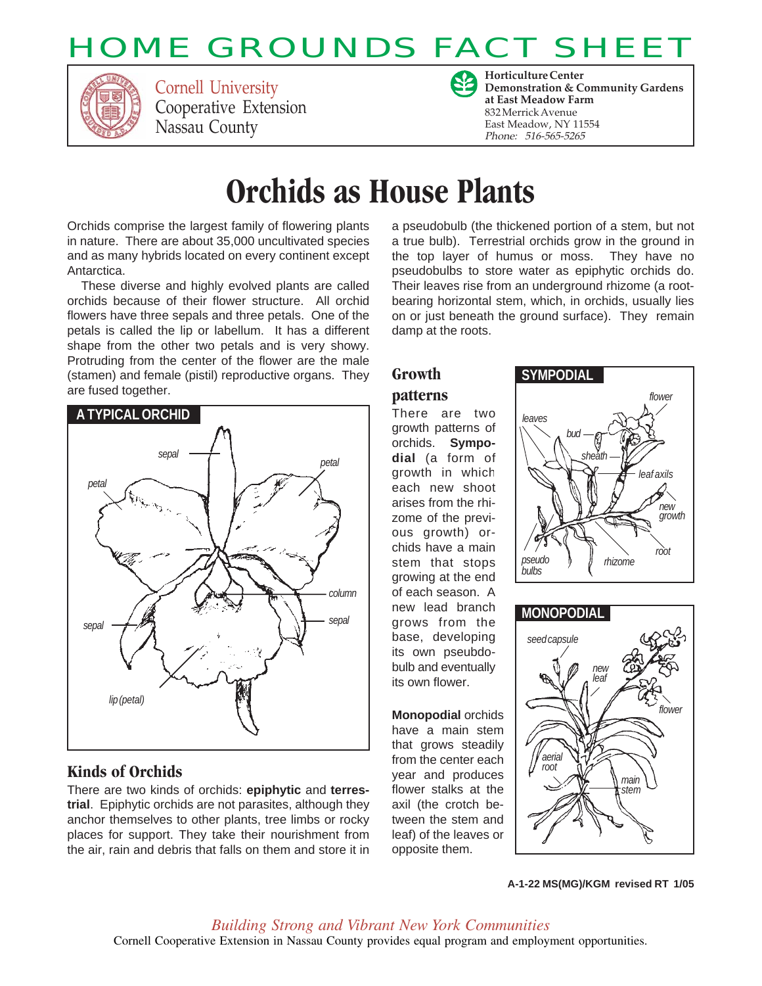# HOME GROUNDS FACT SHEET



Cornell University Cooperative Extension Nassau County



**Horticulture Center Demonstration & Community Gardens at East Meadow Farm** 832 Merrick Avenue East Meadow, NY 11554 Phone: 516-565-5265

# **Orchids as House Plants**

Orchids comprise the largest family of flowering plants in nature. There are about 35,000 uncultivated species and as many hybrids located on every continent except Antarctica.

These diverse and highly evolved plants are called orchids because of their flower structure. All orchid flowers have three sepals and three petals. One of the petals is called the lip or labellum. It has a different shape from the other two petals and is very showy. Protruding from the center of the flower are the male (stamen) and female (pistil) reproductive organs. They are fused together.



### **Kinds of Orchids**

There are two kinds of orchids: **epiphytic** and **terrestrial**. Epiphytic orchids are not parasites, although they anchor themselves to other plants, tree limbs or rocky places for support. They take their nourishment from the air, rain and debris that falls on them and store it in

a pseudobulb (the thickened portion of a stem, but not a true bulb). Terrestrial orchids grow in the ground in the top layer of humus or moss. They have no pseudobulbs to store water as epiphytic orchids do. Their leaves rise from an underground rhizome (a rootbearing horizontal stem, which, in orchids, usually lies on or just beneath the ground surface). They remain damp at the roots.

### **Growth**

#### **patterns**

There are two growth patterns of orchids. **Sympodial** (a form of growth in which each new shoot arises from the rhizome of the previous growth) orchids have a main stem that stops growing at the end of each season. A new lead branch grows from the base, developing its own pseubdobulb and eventually its own flower.

**Monopodial** orchids have a main stem that grows steadily from the center each year and produces flower stalks at the axil (the crotch between the stem and leaf) of the leaves or opposite them.





**A-1-22 MS(MG)/KGM revised RT 1/05**

Cornell Cooperative Extension in Nassau County provides equal program and employment opportunities. *Building Strong and Vibrant New York Communities*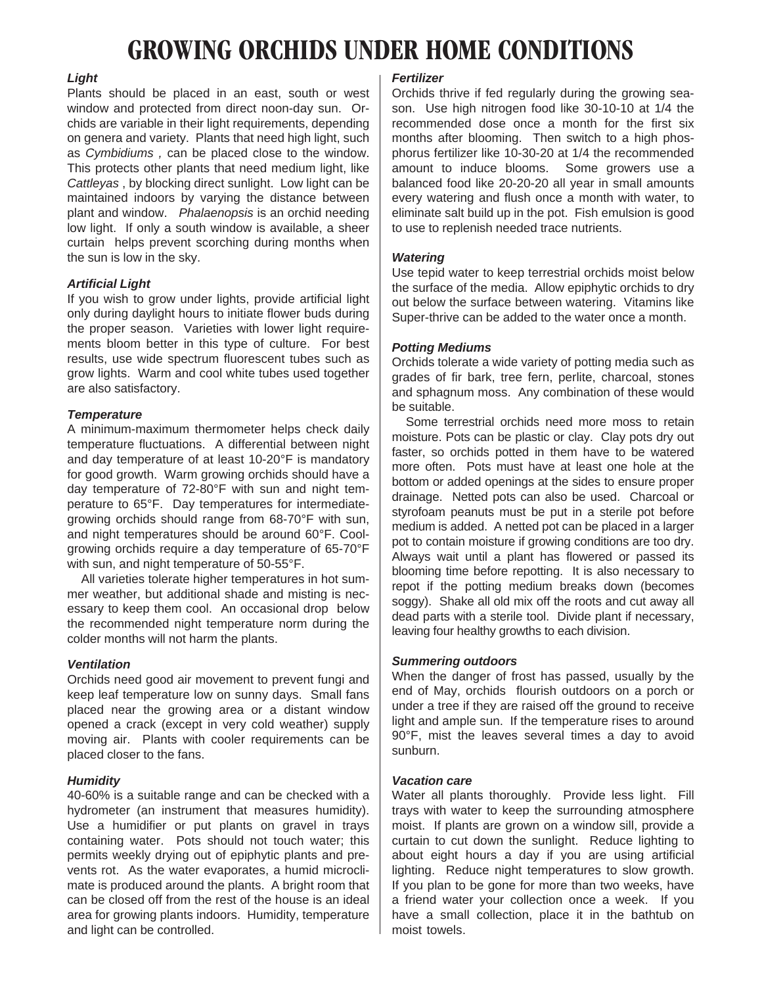## **GROWING ORCHIDS UNDER HOME CONDITIONS**

#### *Light*

Plants should be placed in an east, south or west window and protected from direct noon-day sun. Orchids are variable in their light requirements, depending on genera and variety. Plants that need high light, such as *Cymbidiums ,* can be placed close to the window. This protects other plants that need medium light, like *Cattleyas* , by blocking direct sunlight. Low light can be maintained indoors by varying the distance between plant and window. *Phalaenopsis* is an orchid needing low light. If only a south window is available, a sheer curtain helps prevent scorching during months when the sun is low in the sky.

#### *Artificial Light*

If you wish to grow under lights, provide artificial light only during daylight hours to initiate flower buds during the proper season. Varieties with lower light requirements bloom better in this type of culture. For best results, use wide spectrum fluorescent tubes such as grow lights. Warm and cool white tubes used together are also satisfactory.

#### *Temperature*

A minimum-maximum thermometer helps check daily temperature fluctuations. A differential between night and day temperature of at least 10-20°F is mandatory for good growth. Warm growing orchids should have a day temperature of 72-80°F with sun and night temperature to 65°F. Day temperatures for intermediategrowing orchids should range from 68-70°F with sun, and night temperatures should be around 60°F. Coolgrowing orchids require a day temperature of 65-70°F with sun, and night temperature of 50-55°F.

All varieties tolerate higher temperatures in hot summer weather, but additional shade and misting is necessary to keep them cool. An occasional drop below the recommended night temperature norm during the colder months will not harm the plants.

### *Ventilation*

Orchids need good air movement to prevent fungi and keep leaf temperature low on sunny days. Small fans placed near the growing area or a distant window opened a crack (except in very cold weather) supply moving air. Plants with cooler requirements can be placed closer to the fans.

#### *Humidity*

40-60% is a suitable range and can be checked with a hydrometer (an instrument that measures humidity). Use a humidifier or put plants on gravel in trays containing water. Pots should not touch water; this permits weekly drying out of epiphytic plants and prevents rot. As the water evaporates, a humid microclimate is produced around the plants. A bright room that can be closed off from the rest of the house is an ideal area for growing plants indoors. Humidity, temperature and light can be controlled.

### *Fertilizer*

Orchids thrive if fed regularly during the growing season. Use high nitrogen food like 30-10-10 at 1/4 the recommended dose once a month for the first six months after blooming. Then switch to a high phosphorus fertilizer like 10-30-20 at 1/4 the recommended amount to induce blooms. Some growers use a balanced food like 20-20-20 all year in small amounts every watering and flush once a month with water, to eliminate salt build up in the pot. Fish emulsion is good to use to replenish needed trace nutrients.

#### *Watering*

Use tepid water to keep terrestrial orchids moist below the surface of the media. Allow epiphytic orchids to dry out below the surface between watering. Vitamins like Super-thrive can be added to the water once a month.

#### *Potting Mediums*

Orchids tolerate a wide variety of potting media such as grades of fir bark, tree fern, perlite, charcoal, stones and sphagnum moss. Any combination of these would be suitable.

Some terrestrial orchids need more moss to retain moisture. Pots can be plastic or clay. Clay pots dry out faster, so orchids potted in them have to be watered more often. Pots must have at least one hole at the bottom or added openings at the sides to ensure proper drainage. Netted pots can also be used. Charcoal or styrofoam peanuts must be put in a sterile pot before medium is added. A netted pot can be placed in a larger pot to contain moisture if growing conditions are too dry. Always wait until a plant has flowered or passed its blooming time before repotting. It is also necessary to repot if the potting medium breaks down (becomes soggy). Shake all old mix off the roots and cut away all dead parts with a sterile tool. Divide plant if necessary, leaving four healthy growths to each division.

#### *Summering outdoors*

When the danger of frost has passed, usually by the end of May, orchids flourish outdoors on a porch or under a tree if they are raised off the ground to receive light and ample sun. If the temperature rises to around 90°F, mist the leaves several times a day to avoid sunburn.

#### *Vacation care*

Water all plants thoroughly. Provide less light. Fill trays with water to keep the surrounding atmosphere moist. If plants are grown on a window sill, provide a curtain to cut down the sunlight. Reduce lighting to about eight hours a day if you are using artificial lighting. Reduce night temperatures to slow growth. If you plan to be gone for more than two weeks, have a friend water your collection once a week. If you have a small collection, place it in the bathtub on moist towels.